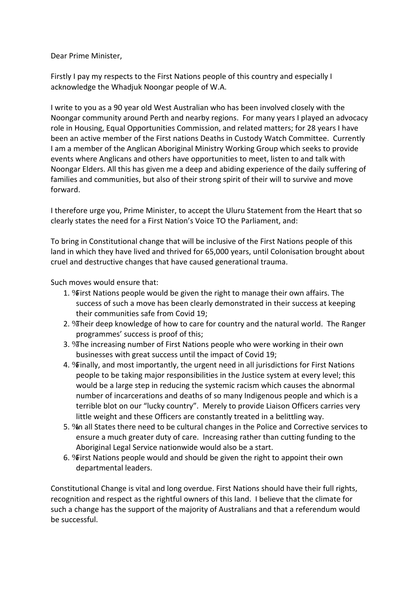Dear Prime Minister,

 Firstly I pay my respects to the First Nations people of this country and especially I acknowledge the Whadjuk Noongar people of W.A.

 I write to you as a 90 year old West Australian who has been involved closely with the Noongar community around Perth and nearby regions. For many years I played an advocacy role in Housing, Equal Opportunities Commission, and related matters; for 28 years I have been an active member of the First nations Deaths in Custody Watch Committee. Currently I am a member of the Anglican Aboriginal Ministry Working Group which seeks to provide events where Anglicans and others have opportunities to meet, listen to and talk with Noongar Elders. All this has given me a deep and abiding experience of the daily suffering of families and communities, but also of their strong spirit of their will to survive and move forward.

 I therefore urge you, Prime Minister, to accept the Uluru Statement from the Heart that so clearly states the need for a First Nation's Voice TO the Parliament, and:

 To bring in Constitutional change that will be inclusive of the First Nations people of this land in which they have lived and thrived for 65,000 years, until Colonisation brought about cruel and destructive changes that have caused generational trauma.

Such moves would ensure that:

- 1. %First Nations people would be given the right to manage their own affairs. The success of such a move has been clearly demonstrated in their success at keeping their communities safe from Covid 19;
- 2. *N* heir deep knowledge of how to care for country and the natural world. The Ranger programmes' success is proof of this;
- 3. *N* The increasing number of First Nations people who were working in their own businesses with great success until the impact of Covid 19;
- 4. \Finally, and most importantly, the urgent need in all jurisdictions for First Nations people to be taking major responsibilities in the Justice system at every level; this would be a large step in reducing the systemic racism which causes the abnormal number of incarcerations and deaths of so many Indigenous people and which is a terrible blot on our "lucky country". Merely to provide Liaison Officers carries very little weight and these Officers are constantly treated in a belittling way.
- 5. %n all States there need to be cultural changes in the Police and Corrective services to ensure a much greater duty of care. Increasing rather than cutting funding to the Aboriginal Legal Service nationwide would also be a start.
- 6. **Wrinst Nations people would and should be given the right to appoint their own** departmental leaders.

 Constitutional Change is vital and long overdue. First Nations should have their full rights, recognition and respect as the rightful owners of this land. I believe that the climate for such a change has the support of the majority of Australians and that a referendum would be successful.